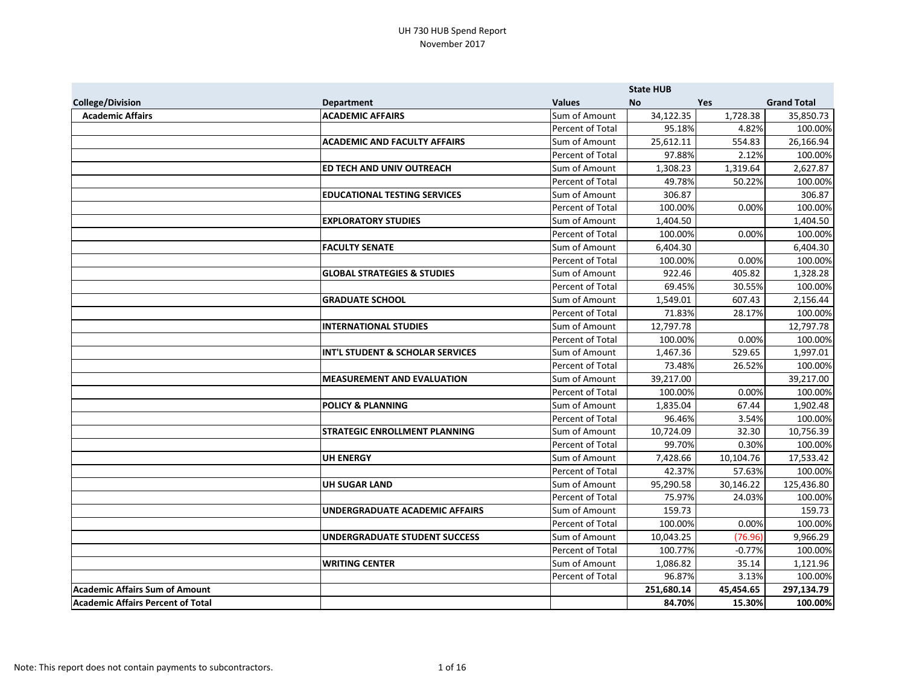|                                          |                                        |                  | <b>State HUB</b> |           |                    |
|------------------------------------------|----------------------------------------|------------------|------------------|-----------|--------------------|
| <b>College/Division</b>                  | <b>Department</b>                      | <b>Values</b>    | <b>No</b>        | Yes       | <b>Grand Total</b> |
| <b>Academic Affairs</b>                  | <b>ACADEMIC AFFAIRS</b>                | Sum of Amount    | 34,122.35        | 1,728.38  | 35,850.73          |
|                                          |                                        | Percent of Total | 95.18%           | 4.82%     | 100.00%            |
|                                          | <b>ACADEMIC AND FACULTY AFFAIRS</b>    | Sum of Amount    | 25,612.11        | 554.83    | 26,166.94          |
|                                          |                                        | Percent of Total | 97.88%           | 2.12%     | 100.00%            |
|                                          | ED TECH AND UNIV OUTREACH              | Sum of Amount    | 1,308.23         | 1,319.64  | 2,627.87           |
|                                          |                                        | Percent of Total | 49.78%           | 50.22%    | 100.00%            |
|                                          | <b>EDUCATIONAL TESTING SERVICES</b>    | Sum of Amount    | 306.87           |           | 306.87             |
|                                          |                                        | Percent of Total | 100.00%          | 0.00%     | 100.00%            |
|                                          | <b>EXPLORATORY STUDIES</b>             | Sum of Amount    | 1,404.50         |           | 1,404.50           |
|                                          |                                        | Percent of Total | 100.00%          | 0.00%     | 100.00%            |
|                                          | <b>FACULTY SENATE</b>                  | Sum of Amount    | 6,404.30         |           | 6,404.30           |
|                                          |                                        | Percent of Total | 100.00%          | 0.00%     | 100.00%            |
|                                          | <b>GLOBAL STRATEGIES &amp; STUDIES</b> | Sum of Amount    | 922.46           | 405.82    | 1,328.28           |
|                                          |                                        | Percent of Total | 69.45%           | 30.55%    | 100.00%            |
|                                          | <b>GRADUATE SCHOOL</b>                 | Sum of Amount    | 1,549.01         | 607.43    | 2,156.44           |
|                                          |                                        | Percent of Total | 71.83%           | 28.17%    | 100.00%            |
|                                          | <b>INTERNATIONAL STUDIES</b>           | Sum of Amount    | 12,797.78        |           | 12,797.78          |
|                                          |                                        | Percent of Total | 100.00%          | 0.00%     | 100.00%            |
|                                          | INT'L STUDENT & SCHOLAR SERVICES       | Sum of Amount    | 1,467.36         | 529.65    | 1,997.01           |
|                                          |                                        | Percent of Total | 73.48%           | 26.52%    | 100.00%            |
|                                          | <b>MEASUREMENT AND EVALUATION</b>      | Sum of Amount    | 39,217.00        |           | 39,217.00          |
|                                          |                                        | Percent of Total | 100.00%          | 0.00%     | 100.00%            |
|                                          | <b>POLICY &amp; PLANNING</b>           | Sum of Amount    | 1,835.04         | 67.44     | 1,902.48           |
|                                          |                                        | Percent of Total | 96.46%           | 3.54%     | 100.00%            |
|                                          | <b>STRATEGIC ENROLLMENT PLANNING</b>   | Sum of Amount    | 10,724.09        | 32.30     | 10,756.39          |
|                                          |                                        | Percent of Total | 99.70%           | 0.30%     | 100.00%            |
|                                          | <b>UH ENERGY</b>                       | Sum of Amount    | 7,428.66         | 10,104.76 | 17,533.42          |
|                                          |                                        | Percent of Total | 42.37%           | 57.63%    | 100.00%            |
|                                          | <b>UH SUGAR LAND</b>                   | Sum of Amount    | 95,290.58        | 30,146.22 | 125,436.80         |
|                                          |                                        | Percent of Total | 75.97%           | 24.03%    | 100.00%            |
|                                          | UNDERGRADUATE ACADEMIC AFFAIRS         | Sum of Amount    | 159.73           |           | 159.73             |
|                                          |                                        | Percent of Total | 100.00%          | 0.00%     | 100.00%            |
|                                          | <b>UNDERGRADUATE STUDENT SUCCESS</b>   | Sum of Amount    | 10,043.25        | (76.96)   | 9,966.29           |
|                                          |                                        | Percent of Total | 100.77%          | $-0.77%$  | 100.00%            |
|                                          | <b>WRITING CENTER</b>                  | Sum of Amount    | 1,086.82         | 35.14     | 1,121.96           |
|                                          |                                        | Percent of Total | 96.87%           | 3.13%     | 100.00%            |
| <b>Academic Affairs Sum of Amount</b>    |                                        |                  | 251,680.14       | 45,454.65 | 297,134.79         |
| <b>Academic Affairs Percent of Total</b> |                                        |                  | 84.70%           | 15.30%    | 100.00%            |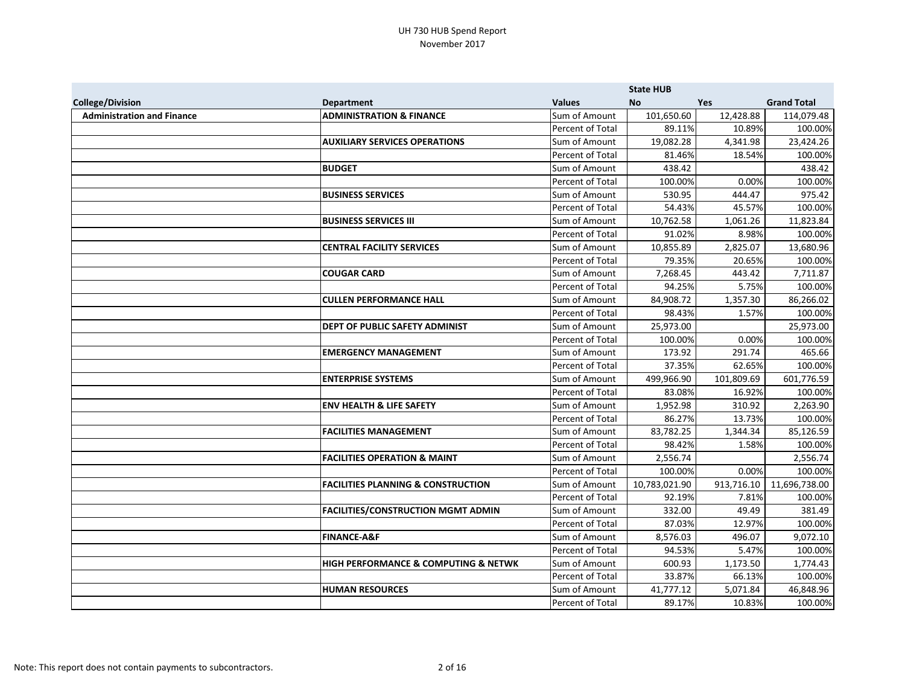|                                   |                                                     |                  | <b>State HUB</b> |            |                    |
|-----------------------------------|-----------------------------------------------------|------------------|------------------|------------|--------------------|
| <b>College/Division</b>           | <b>Department</b>                                   | <b>Values</b>    | <b>No</b>        | <b>Yes</b> | <b>Grand Total</b> |
| <b>Administration and Finance</b> | <b>ADMINISTRATION &amp; FINANCE</b>                 | Sum of Amount    | 101,650.60       | 12,428.88  | 114,079.48         |
|                                   |                                                     | Percent of Total | 89.11%           | 10.89%     | 100.00%            |
|                                   | <b>AUXILIARY SERVICES OPERATIONS</b>                | Sum of Amount    | 19,082.28        | 4,341.98   | 23,424.26          |
|                                   |                                                     | Percent of Total | 81.46%           | 18.54%     | 100.00%            |
|                                   | <b>BUDGET</b>                                       | Sum of Amount    | 438.42           |            | 438.42             |
|                                   |                                                     | Percent of Total | 100.00%          | 0.00%      | 100.00%            |
|                                   | <b>BUSINESS SERVICES</b>                            | Sum of Amount    | 530.95           | 444.47     | 975.42             |
|                                   |                                                     | Percent of Total | 54.43%           | 45.57%     | 100.00%            |
|                                   | <b>BUSINESS SERVICES III</b>                        | Sum of Amount    | 10,762.58        | 1,061.26   | 11,823.84          |
|                                   |                                                     | Percent of Total | 91.02%           | 8.98%      | 100.00%            |
|                                   | <b>CENTRAL FACILITY SERVICES</b>                    | Sum of Amount    | 10,855.89        | 2,825.07   | 13,680.96          |
|                                   |                                                     | Percent of Total | 79.35%           | 20.65%     | 100.00%            |
|                                   | <b>COUGAR CARD</b>                                  | Sum of Amount    | 7,268.45         | 443.42     | 7,711.87           |
|                                   |                                                     | Percent of Total | 94.25%           | 5.75%      | 100.00%            |
|                                   | <b>CULLEN PERFORMANCE HALL</b>                      | Sum of Amount    | 84,908.72        | 1,357.30   | 86,266.02          |
|                                   |                                                     | Percent of Total | 98.43%           | 1.57%      | 100.00%            |
|                                   | DEPT OF PUBLIC SAFETY ADMINIST                      | Sum of Amount    | 25,973.00        |            | 25,973.00          |
|                                   |                                                     | Percent of Total | 100.00%          | 0.00%      | 100.00%            |
|                                   | <b>EMERGENCY MANAGEMENT</b>                         | Sum of Amount    | 173.92           | 291.74     | 465.66             |
|                                   |                                                     | Percent of Total | 37.35%           | 62.65%     | 100.00%            |
|                                   | <b>ENTERPRISE SYSTEMS</b>                           | Sum of Amount    | 499,966.90       | 101,809.69 | 601,776.59         |
|                                   |                                                     | Percent of Total | 83.08%           | 16.92%     | 100.00%            |
|                                   | <b>ENV HEALTH &amp; LIFE SAFETY</b>                 | Sum of Amount    | 1,952.98         | 310.92     | 2,263.90           |
|                                   |                                                     | Percent of Total | 86.27%           | 13.73%     | 100.00%            |
|                                   | <b>FACILITIES MANAGEMENT</b>                        | Sum of Amount    | 83,782.25        | 1,344.34   | 85,126.59          |
|                                   |                                                     | Percent of Total | 98.42%           | 1.58%      | 100.00%            |
|                                   | <b>FACILITIES OPERATION &amp; MAINT</b>             | Sum of Amount    | 2,556.74         |            | 2,556.74           |
|                                   |                                                     | Percent of Total | 100.00%          | 0.00%      | 100.00%            |
|                                   | <b>FACILITIES PLANNING &amp; CONSTRUCTION</b>       | Sum of Amount    | 10,783,021.90    | 913,716.10 | 11,696,738.00      |
|                                   |                                                     | Percent of Total | 92.19%           | 7.81%      | 100.00%            |
|                                   | <b>FACILITIES/CONSTRUCTION MGMT ADMIN</b>           | Sum of Amount    | 332.00           | 49.49      | 381.49             |
|                                   |                                                     | Percent of Total | 87.03%           | 12.97%     | 100.00%            |
|                                   | <b>FINANCE-A&amp;F</b>                              | Sum of Amount    | 8,576.03         | 496.07     | 9,072.10           |
|                                   |                                                     | Percent of Total | 94.53%           | 5.47%      | 100.00%            |
|                                   | <b>HIGH PERFORMANCE &amp; COMPUTING &amp; NETWK</b> | Sum of Amount    | 600.93           | 1,173.50   | 1,774.43           |
|                                   |                                                     | Percent of Total | 33.87%           | 66.13%     | 100.00%            |
|                                   | <b>HUMAN RESOURCES</b>                              | Sum of Amount    | 41,777.12        | 5,071.84   | 46,848.96          |
|                                   |                                                     | Percent of Total | 89.17%           | 10.83%     | 100.00%            |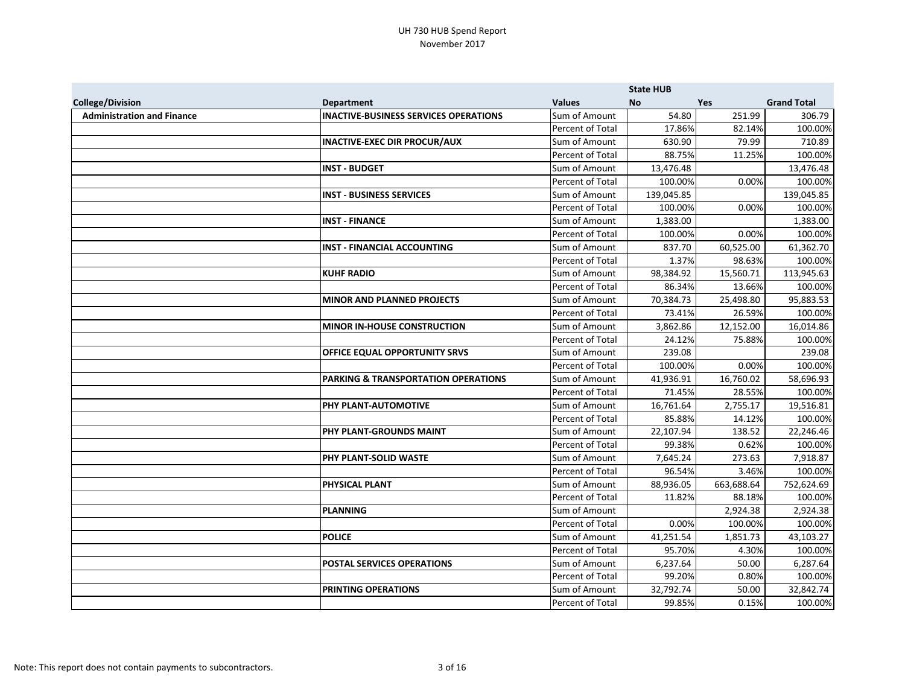|                                   |                                                |                  | <b>State HUB</b> |            |                    |
|-----------------------------------|------------------------------------------------|------------------|------------------|------------|--------------------|
| <b>College/Division</b>           | <b>Department</b>                              | <b>Values</b>    | <b>No</b>        | Yes        | <b>Grand Total</b> |
| <b>Administration and Finance</b> | <b>INACTIVE-BUSINESS SERVICES OPERATIONS</b>   | Sum of Amount    | 54.80            | 251.99     | 306.79             |
|                                   |                                                | Percent of Total | 17.86%           | 82.14%     | 100.00%            |
|                                   | <b>INACTIVE-EXEC DIR PROCUR/AUX</b>            | Sum of Amount    | 630.90           | 79.99      | 710.89             |
|                                   |                                                | Percent of Total | 88.75%           | 11.25%     | 100.00%            |
|                                   | <b>INST - BUDGET</b>                           | Sum of Amount    | 13,476.48        |            | 13,476.48          |
|                                   |                                                | Percent of Total | 100.00%          | 0.00%      | 100.00%            |
|                                   | <b>INST - BUSINESS SERVICES</b>                | Sum of Amount    | 139,045.85       |            | 139,045.85         |
|                                   |                                                | Percent of Total | 100.00%          | 0.00%      | 100.00%            |
|                                   | <b>INST - FINANCE</b>                          | Sum of Amount    | 1,383.00         |            | 1,383.00           |
|                                   |                                                | Percent of Total | 100.00%          | 0.00%      | 100.00%            |
|                                   | <b>INST - FINANCIAL ACCOUNTING</b>             | Sum of Amount    | 837.70           | 60,525.00  | 61,362.70          |
|                                   |                                                | Percent of Total | 1.37%            | 98.63%     | 100.00%            |
|                                   | <b>KUHF RADIO</b>                              | Sum of Amount    | 98,384.92        | 15,560.71  | 113,945.63         |
|                                   |                                                | Percent of Total | 86.34%           | 13.66%     | 100.00%            |
|                                   | <b>MINOR AND PLANNED PROJECTS</b>              | Sum of Amount    | 70,384.73        | 25,498.80  | 95,883.53          |
|                                   |                                                | Percent of Total | 73.41%           | 26.59%     | 100.00%            |
|                                   | <b>MINOR IN-HOUSE CONSTRUCTION</b>             | Sum of Amount    | 3,862.86         | 12,152.00  | 16,014.86          |
|                                   |                                                | Percent of Total | 24.12%           | 75.88%     | 100.00%            |
|                                   | <b>OFFICE EQUAL OPPORTUNITY SRVS</b>           | Sum of Amount    | 239.08           |            | 239.08             |
|                                   |                                                | Percent of Total | 100.00%          | 0.00%      | 100.00%            |
|                                   | <b>PARKING &amp; TRANSPORTATION OPERATIONS</b> | Sum of Amount    | 41,936.91        | 16,760.02  | 58,696.93          |
|                                   |                                                | Percent of Total | 71.45%           | 28.55%     | 100.00%            |
|                                   | <b>PHY PLANT-AUTOMOTIVE</b>                    | Sum of Amount    | 16,761.64        | 2,755.17   | 19,516.81          |
|                                   |                                                | Percent of Total | 85.88%           | 14.12%     | 100.00%            |
|                                   | PHY PLANT-GROUNDS MAINT                        | Sum of Amount    | 22,107.94        | 138.52     | 22,246.46          |
|                                   |                                                | Percent of Total | 99.38%           | 0.62%      | 100.00%            |
|                                   | <b>PHY PLANT-SOLID WASTE</b>                   | Sum of Amount    | 7,645.24         | 273.63     | 7,918.87           |
|                                   |                                                | Percent of Total | 96.54%           | 3.46%      | 100.00%            |
|                                   | <b>PHYSICAL PLANT</b>                          | Sum of Amount    | 88,936.05        | 663,688.64 | 752,624.69         |
|                                   |                                                | Percent of Total | 11.82%           | 88.18%     | 100.00%            |
|                                   | PLANNING                                       | Sum of Amount    |                  | 2,924.38   | 2,924.38           |
|                                   |                                                | Percent of Total | 0.00%            | 100.00%    | 100.00%            |
|                                   | <b>POLICE</b>                                  | Sum of Amount    | 41,251.54        | 1,851.73   | 43,103.27          |
|                                   |                                                | Percent of Total | 95.70%           | 4.30%      | 100.00%            |
|                                   | <b>POSTAL SERVICES OPERATIONS</b>              | Sum of Amount    | 6,237.64         | 50.00      | 6,287.64           |
|                                   |                                                | Percent of Total | 99.20%           | 0.80%      | 100.00%            |
|                                   | <b>PRINTING OPERATIONS</b>                     | Sum of Amount    | 32,792.74        | 50.00      | 32,842.74          |
|                                   |                                                | Percent of Total | 99.85%           | 0.15%      | 100.00%            |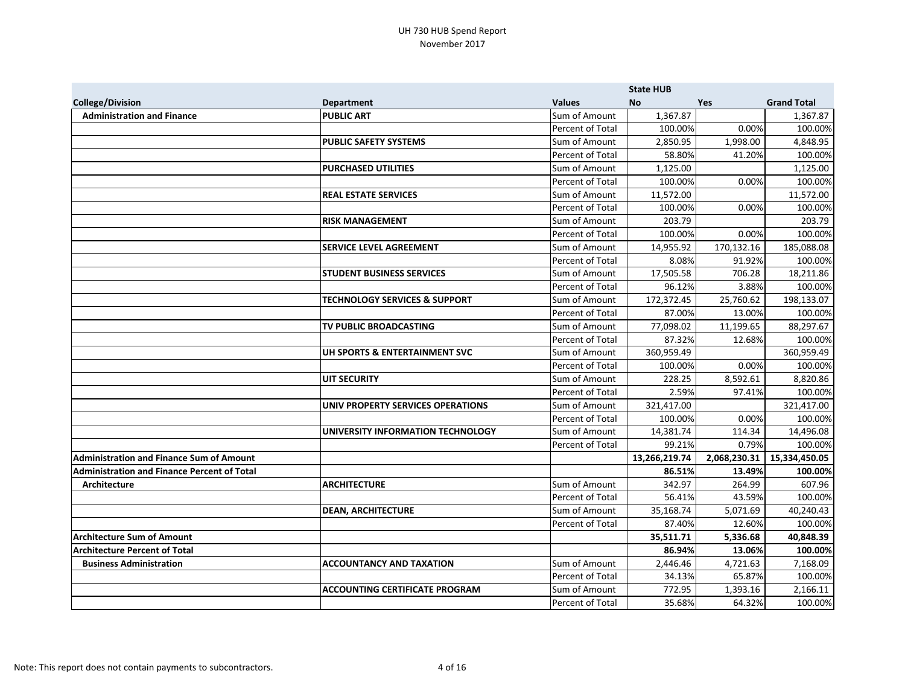|                                                    |                                          |                  | <b>State HUB</b> |              |                    |
|----------------------------------------------------|------------------------------------------|------------------|------------------|--------------|--------------------|
| <b>College/Division</b>                            | <b>Department</b>                        | <b>Values</b>    | <b>No</b>        | Yes          | <b>Grand Total</b> |
| <b>Administration and Finance</b>                  | <b>PUBLIC ART</b>                        | Sum of Amount    | 1,367.87         |              | 1,367.87           |
|                                                    |                                          | Percent of Total | 100.00%          | 0.00%        | 100.00%            |
|                                                    | <b>PUBLIC SAFETY SYSTEMS</b>             | Sum of Amount    | 2,850.95         | 1,998.00     | 4,848.95           |
|                                                    |                                          | Percent of Total | 58.80%           | 41.20%       | 100.00%            |
|                                                    | <b>PURCHASED UTILITIES</b>               | Sum of Amount    | 1,125.00         |              | 1,125.00           |
|                                                    |                                          | Percent of Total | 100.00%          | 0.00%        | 100.00%            |
|                                                    | <b>REAL ESTATE SERVICES</b>              | Sum of Amount    | 11,572.00        |              | 11,572.00          |
|                                                    |                                          | Percent of Total | 100.00%          | 0.00%        | 100.00%            |
|                                                    | <b>RISK MANAGEMENT</b>                   | Sum of Amount    | 203.79           |              | 203.79             |
|                                                    |                                          | Percent of Total | 100.00%          | 0.00%        | 100.00%            |
|                                                    | <b>SERVICE LEVEL AGREEMENT</b>           | Sum of Amount    | 14,955.92        | 170,132.16   | 185,088.08         |
|                                                    |                                          | Percent of Total | 8.08%            | 91.92%       | 100.00%            |
|                                                    | <b>STUDENT BUSINESS SERVICES</b>         | Sum of Amount    | 17,505.58        | 706.28       | 18,211.86          |
|                                                    |                                          | Percent of Total | 96.12%           | 3.88%        | 100.00%            |
|                                                    | <b>TECHNOLOGY SERVICES &amp; SUPPORT</b> | Sum of Amount    | 172,372.45       | 25,760.62    | 198,133.07         |
|                                                    |                                          | Percent of Total | 87.00%           | 13.00%       | 100.00%            |
|                                                    | TV PUBLIC BROADCASTING                   | Sum of Amount    | 77,098.02        | 11,199.65    | 88,297.67          |
|                                                    |                                          | Percent of Total | 87.32%           | 12.68%       | 100.00%            |
|                                                    | UH SPORTS & ENTERTAINMENT SVC            | Sum of Amount    | 360,959.49       |              | 360,959.49         |
|                                                    |                                          | Percent of Total | 100.00%          | 0.00%        | 100.00%            |
|                                                    | <b>UIT SECURITY</b>                      | Sum of Amount    | 228.25           | 8,592.61     | 8,820.86           |
|                                                    |                                          | Percent of Total | 2.59%            | 97.41%       | 100.00%            |
|                                                    | UNIV PROPERTY SERVICES OPERATIONS        | Sum of Amount    | 321,417.00       |              | 321,417.00         |
|                                                    |                                          | Percent of Total | 100.00%          | 0.00%        | 100.00%            |
|                                                    | UNIVERSITY INFORMATION TECHNOLOGY        | Sum of Amount    | 14,381.74        | 114.34       | 14,496.08          |
|                                                    |                                          | Percent of Total | 99.21%           | 0.79%        | 100.00%            |
| <b>Administration and Finance Sum of Amount</b>    |                                          |                  | 13,266,219.74    | 2,068,230.31 | 15,334,450.05      |
| <b>Administration and Finance Percent of Total</b> |                                          |                  | 86.51%           | 13.49%       | 100.00%            |
| <b>Architecture</b>                                | <b>ARCHITECTURE</b>                      | Sum of Amount    | 342.97           | 264.99       | 607.96             |
|                                                    |                                          | Percent of Total | 56.41%           | 43.59%       | 100.00%            |
|                                                    | <b>DEAN, ARCHITECTURE</b>                | Sum of Amount    | 35,168.74        | 5,071.69     | 40,240.43          |
|                                                    |                                          | Percent of Total | 87.40%           | 12.60%       | 100.00%            |
| <b>Architecture Sum of Amount</b>                  |                                          |                  | 35,511.71        | 5,336.68     | 40,848.39          |
| <b>Architecture Percent of Total</b>               |                                          |                  | 86.94%           | 13.06%       | 100.00%            |
| <b>Business Administration</b>                     | <b>ACCOUNTANCY AND TAXATION</b>          | Sum of Amount    | 2,446.46         | 4,721.63     | 7,168.09           |
|                                                    |                                          | Percent of Total | 34.13%           | 65.87%       | 100.00%            |
|                                                    | <b>ACCOUNTING CERTIFICATE PROGRAM</b>    | Sum of Amount    | 772.95           | 1,393.16     | 2,166.11           |
|                                                    |                                          | Percent of Total | 35.68%           | 64.32%       | 100.00%            |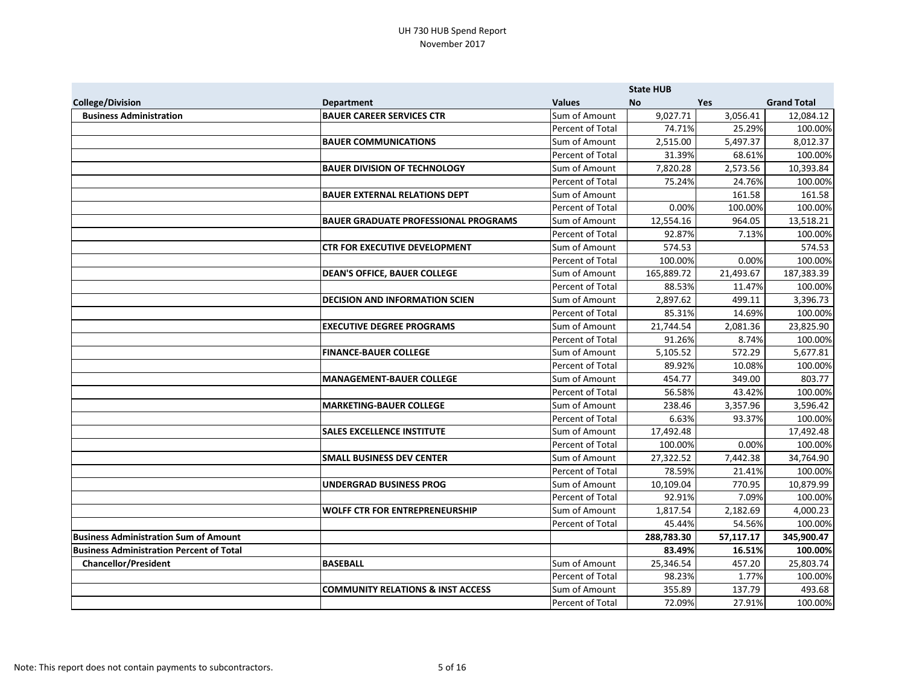|                                                 |                                              |                  | <b>State HUB</b> |           |                    |
|-------------------------------------------------|----------------------------------------------|------------------|------------------|-----------|--------------------|
| <b>College/Division</b>                         | <b>Department</b>                            | <b>Values</b>    | <b>No</b>        | Yes       | <b>Grand Total</b> |
| <b>Business Administration</b>                  | <b>BAUER CAREER SERVICES CTR</b>             | Sum of Amount    | 9,027.71         | 3,056.41  | 12,084.12          |
|                                                 |                                              | Percent of Total | 74.71%           | 25.29%    | 100.00%            |
|                                                 | <b>BAUER COMMUNICATIONS</b>                  | Sum of Amount    | 2,515.00         | 5,497.37  | 8,012.37           |
|                                                 |                                              | Percent of Total | 31.39%           | 68.61%    | 100.00%            |
|                                                 | <b>BAUER DIVISION OF TECHNOLOGY</b>          | Sum of Amount    | 7,820.28         | 2,573.56  | 10,393.84          |
|                                                 |                                              | Percent of Total | 75.24%           | 24.76%    | 100.00%            |
|                                                 | <b>BAUER EXTERNAL RELATIONS DEPT</b>         | Sum of Amount    |                  | 161.58    | 161.58             |
|                                                 |                                              | Percent of Total | 0.00%            | 100.00%   | 100.00%            |
|                                                 | <b>BAUER GRADUATE PROFESSIONAL PROGRAMS</b>  | Sum of Amount    | 12,554.16        | 964.05    | 13,518.21          |
|                                                 |                                              | Percent of Total | 92.87%           | 7.13%     | 100.00%            |
|                                                 | <b>CTR FOR EXECUTIVE DEVELOPMENT</b>         | Sum of Amount    | 574.53           |           | 574.53             |
|                                                 |                                              | Percent of Total | 100.00%          | 0.00%     | 100.00%            |
|                                                 | <b>DEAN'S OFFICE, BAUER COLLEGE</b>          | Sum of Amount    | 165,889.72       | 21,493.67 | 187,383.39         |
|                                                 |                                              | Percent of Total | 88.53%           | 11.47%    | 100.00%            |
|                                                 | <b>DECISION AND INFORMATION SCIEN</b>        | Sum of Amount    | 2,897.62         | 499.11    | 3,396.73           |
|                                                 |                                              | Percent of Total | 85.31%           | 14.69%    | 100.00%            |
|                                                 | <b>EXECUTIVE DEGREE PROGRAMS</b>             | Sum of Amount    | 21,744.54        | 2,081.36  | 23,825.90          |
|                                                 |                                              | Percent of Total | 91.26%           | 8.74%     | 100.00%            |
|                                                 | <b>FINANCE-BAUER COLLEGE</b>                 | Sum of Amount    | 5,105.52         | 572.29    | 5,677.81           |
|                                                 |                                              | Percent of Total | 89.92%           | 10.08%    | 100.00%            |
|                                                 | MANAGEMENT-BAUER COLLEGE                     | Sum of Amount    | 454.77           | 349.00    | 803.77             |
|                                                 |                                              | Percent of Total | 56.58%           | 43.42%    | 100.00%            |
|                                                 | <b>MARKETING-BAUER COLLEGE</b>               | Sum of Amount    | 238.46           | 3,357.96  | 3,596.42           |
|                                                 |                                              | Percent of Total | 6.63%            | 93.37%    | 100.00%            |
|                                                 | <b>SALES EXCELLENCE INSTITUTE</b>            | Sum of Amount    | 17,492.48        |           | 17,492.48          |
|                                                 |                                              | Percent of Total | 100.00%          | 0.00%     | 100.00%            |
|                                                 | <b>SMALL BUSINESS DEV CENTER</b>             | Sum of Amount    | 27,322.52        | 7,442.38  | 34,764.90          |
|                                                 |                                              | Percent of Total | 78.59%           | 21.41%    | 100.00%            |
|                                                 | <b>UNDERGRAD BUSINESS PROG</b>               | Sum of Amount    | 10,109.04        | 770.95    | 10,879.99          |
|                                                 |                                              | Percent of Total | 92.91%           | 7.09%     | 100.00%            |
|                                                 | <b>WOLFF CTR FOR ENTREPRENEURSHIP</b>        | Sum of Amount    | 1,817.54         | 2,182.69  | 4,000.23           |
|                                                 |                                              | Percent of Total | 45.44%           | 54.56%    | 100.00%            |
| <b>Business Administration Sum of Amount</b>    |                                              |                  | 288,783.30       | 57,117.17 | 345,900.47         |
| <b>Business Administration Percent of Total</b> |                                              |                  | 83.49%           | 16.51%    | 100.00%            |
| <b>Chancellor/President</b>                     | <b>BASEBALL</b>                              | Sum of Amount    | 25,346.54        | 457.20    | 25,803.74          |
|                                                 |                                              | Percent of Total | 98.23%           | 1.77%     | 100.00%            |
|                                                 | <b>COMMUNITY RELATIONS &amp; INST ACCESS</b> | Sum of Amount    | 355.89           | 137.79    | 493.68             |
|                                                 |                                              | Percent of Total | 72.09%           | 27.91%    | 100.00%            |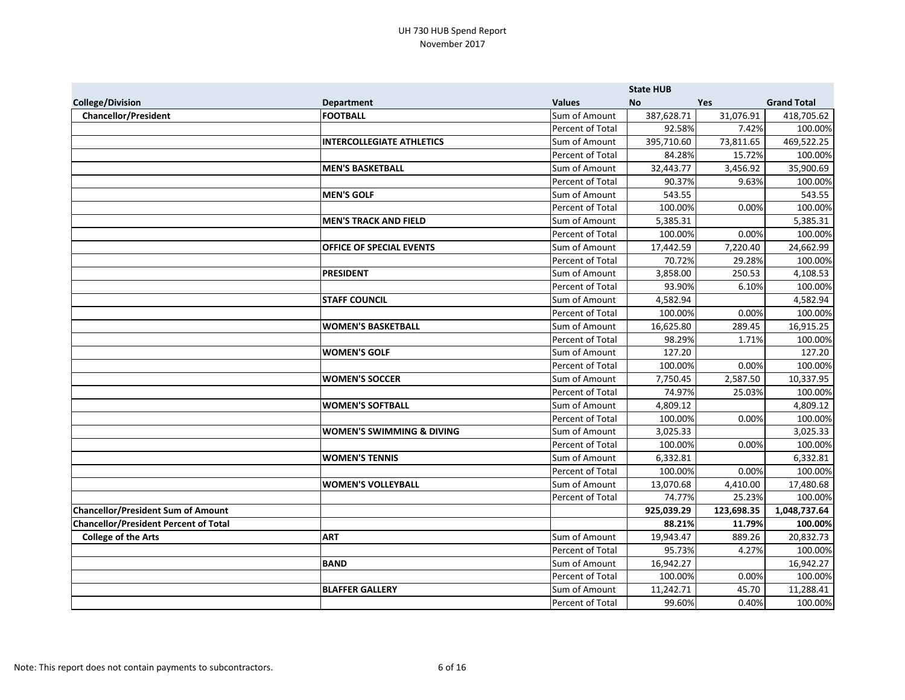|                                              |                                      |                         | <b>State HUB</b> |            |                    |
|----------------------------------------------|--------------------------------------|-------------------------|------------------|------------|--------------------|
| <b>College/Division</b>                      | <b>Department</b>                    | <b>Values</b>           | <b>No</b>        | Yes        | <b>Grand Total</b> |
| <b>Chancellor/President</b>                  | <b>FOOTBALL</b>                      | Sum of Amount           | 387,628.71       | 31,076.91  | 418,705.62         |
|                                              |                                      | Percent of Total        | 92.58%           | 7.42%      | 100.00%            |
|                                              | <b>INTERCOLLEGIATE ATHLETICS</b>     | Sum of Amount           | 395,710.60       | 73,811.65  | 469,522.25         |
|                                              |                                      | Percent of Total        | 84.28%           | 15.72%     | 100.00%            |
|                                              | <b>MEN'S BASKETBALL</b>              | Sum of Amount           | 32,443.77        | 3,456.92   | 35,900.69          |
|                                              |                                      | Percent of Total        | 90.37%           | 9.63%      | 100.00%            |
|                                              | <b>MEN'S GOLF</b>                    | Sum of Amount           | 543.55           |            | 543.55             |
|                                              |                                      | Percent of Total        | 100.00%          | 0.00%      | 100.00%            |
|                                              | <b>MEN'S TRACK AND FIELD</b>         | Sum of Amount           | 5,385.31         |            | 5,385.31           |
|                                              |                                      | Percent of Total        | 100.00%          | 0.00%      | 100.00%            |
|                                              | <b>OFFICE OF SPECIAL EVENTS</b>      | Sum of Amount           | 17,442.59        | 7,220.40   | 24,662.99          |
|                                              |                                      | Percent of Total        | 70.72%           | 29.28%     | 100.00%            |
|                                              | <b>PRESIDENT</b>                     | Sum of Amount           | 3,858.00         | 250.53     | 4,108.53           |
|                                              |                                      | Percent of Total        | 93.90%           | 6.10%      | 100.00%            |
|                                              | <b>STAFF COUNCIL</b>                 | Sum of Amount           | 4,582.94         |            | 4,582.94           |
|                                              |                                      | Percent of Total        | 100.00%          | 0.00%      | 100.00%            |
|                                              | <b>WOMEN'S BASKETBALL</b>            | Sum of Amount           | 16,625.80        | 289.45     | 16,915.25          |
|                                              |                                      | Percent of Total        | 98.29%           | 1.71%      | 100.00%            |
|                                              | <b>WOMEN'S GOLF</b>                  | Sum of Amount           | 127.20           |            | 127.20             |
|                                              |                                      | Percent of Total        | 100.00%          | 0.00%      | 100.00%            |
|                                              | <b>WOMEN'S SOCCER</b>                | Sum of Amount           | 7,750.45         | 2,587.50   | 10,337.95          |
|                                              |                                      | Percent of Total        | 74.97%           | 25.03%     | 100.00%            |
|                                              | <b>WOMEN'S SOFTBALL</b>              | Sum of Amount           | 4,809.12         |            | 4,809.12           |
|                                              |                                      | Percent of Total        | 100.00%          | 0.00%      | 100.00%            |
|                                              | <b>WOMEN'S SWIMMING &amp; DIVING</b> | Sum of Amount           | 3,025.33         |            | 3,025.33           |
|                                              |                                      | <b>Percent of Total</b> | 100.00%          | 0.00%      | 100.00%            |
|                                              | <b>WOMEN'S TENNIS</b>                | Sum of Amount           | 6,332.81         |            | 6,332.81           |
|                                              |                                      | Percent of Total        | 100.00%          | 0.00%      | 100.00%            |
|                                              | <b>WOMEN'S VOLLEYBALL</b>            | Sum of Amount           | 13,070.68        | 4,410.00   | 17,480.68          |
|                                              |                                      | Percent of Total        | 74.77%           | 25.23%     | 100.00%            |
| <b>Chancellor/President Sum of Amount</b>    |                                      |                         | 925,039.29       | 123,698.35 | 1,048,737.64       |
| <b>Chancellor/President Percent of Total</b> |                                      |                         | 88.21%           | 11.79%     | 100.00%            |
| <b>College of the Arts</b>                   | <b>ART</b>                           | Sum of Amount           | 19,943.47        | 889.26     | 20,832.73          |
|                                              |                                      | Percent of Total        | 95.73%           | 4.27%      | 100.00%            |
|                                              | <b>BAND</b>                          | Sum of Amount           | 16,942.27        |            | 16,942.27          |
|                                              |                                      | Percent of Total        | 100.00%          | 0.00%      | 100.00%            |
|                                              | <b>BLAFFER GALLERY</b>               | Sum of Amount           | 11,242.71        | 45.70      | 11,288.41          |
|                                              |                                      | Percent of Total        | 99.60%           | 0.40%      | 100.00%            |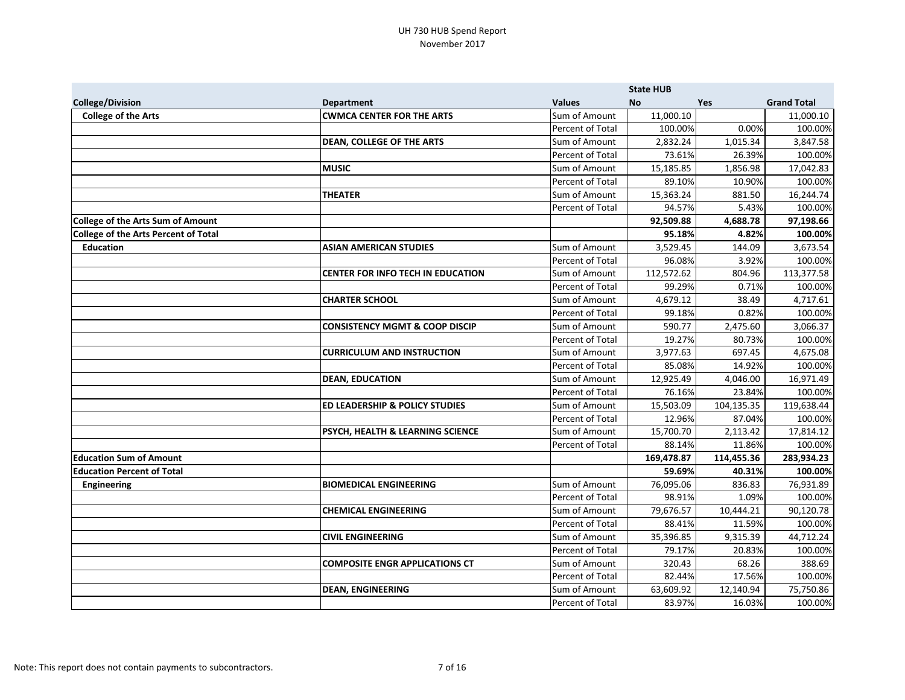|                                             |                                           |                  | <b>State HUB</b> |            |                    |
|---------------------------------------------|-------------------------------------------|------------------|------------------|------------|--------------------|
| <b>College/Division</b>                     | <b>Department</b>                         | <b>Values</b>    | <b>No</b>        | Yes        | <b>Grand Total</b> |
| <b>College of the Arts</b>                  | <b>CWMCA CENTER FOR THE ARTS</b>          | Sum of Amount    | 11,000.10        |            | 11,000.10          |
|                                             |                                           | Percent of Total | 100.00%          | 0.00%      | 100.00%            |
|                                             | <b>DEAN, COLLEGE OF THE ARTS</b>          | Sum of Amount    | 2,832.24         | 1,015.34   | 3,847.58           |
|                                             |                                           | Percent of Total | 73.61%           | 26.39%     | 100.00%            |
|                                             | <b>MUSIC</b>                              | Sum of Amount    | 15,185.85        | 1,856.98   | 17,042.83          |
|                                             |                                           | Percent of Total | 89.10%           | 10.90%     | 100.00%            |
|                                             | <b>THEATER</b>                            | Sum of Amount    | 15,363.24        | 881.50     | 16,244.74          |
|                                             |                                           | Percent of Total | 94.57%           | 5.43%      | 100.00%            |
| <b>College of the Arts Sum of Amount</b>    |                                           |                  | 92,509.88        | 4,688.78   | 97,198.66          |
| <b>College of the Arts Percent of Total</b> |                                           |                  | 95.18%           | 4.82%      | 100.00%            |
| <b>Education</b>                            | <b>ASIAN AMERICAN STUDIES</b>             | Sum of Amount    | 3,529.45         | 144.09     | 3,673.54           |
|                                             |                                           | Percent of Total | 96.08%           | 3.92%      | 100.00%            |
|                                             | CENTER FOR INFO TECH IN EDUCATION         | Sum of Amount    | 112,572.62       | 804.96     | 113,377.58         |
|                                             |                                           | Percent of Total | 99.29%           | 0.71%      | 100.00%            |
|                                             | <b>CHARTER SCHOOL</b>                     | Sum of Amount    | 4,679.12         | 38.49      | 4,717.61           |
|                                             |                                           | Percent of Total | 99.18%           | 0.82%      | 100.00%            |
|                                             | <b>CONSISTENCY MGMT &amp; COOP DISCIP</b> | Sum of Amount    | 590.77           | 2,475.60   | 3,066.37           |
|                                             |                                           | Percent of Total | 19.27%           | 80.73%     | 100.00%            |
|                                             | <b>CURRICULUM AND INSTRUCTION</b>         | Sum of Amount    | 3,977.63         | 697.45     | 4,675.08           |
|                                             |                                           | Percent of Total | 85.08%           | 14.92%     | 100.00%            |
|                                             | <b>DEAN, EDUCATION</b>                    | Sum of Amount    | 12,925.49        | 4,046.00   | 16,971.49          |
|                                             |                                           | Percent of Total | 76.16%           | 23.84%     | 100.00%            |
|                                             | <b>ED LEADERSHIP &amp; POLICY STUDIES</b> | Sum of Amount    | 15,503.09        | 104,135.35 | 119,638.44         |
|                                             |                                           | Percent of Total | 12.96%           | 87.04%     | 100.00%            |
|                                             | PSYCH, HEALTH & LEARNING SCIENCE          | Sum of Amount    | 15,700.70        | 2,113.42   | 17,814.12          |
|                                             |                                           | Percent of Total | 88.14%           | 11.86%     | 100.00%            |
| <b>Education Sum of Amount</b>              |                                           |                  | 169,478.87       | 114,455.36 | 283,934.23         |
| <b>Education Percent of Total</b>           |                                           |                  | 59.69%           | 40.31%     | 100.00%            |
| <b>Engineering</b>                          | <b>BIOMEDICAL ENGINEERING</b>             | Sum of Amount    | 76,095.06        | 836.83     | 76,931.89          |
|                                             |                                           | Percent of Total | 98.91%           | 1.09%      | 100.00%            |
|                                             | <b>CHEMICAL ENGINEERING</b>               | Sum of Amount    | 79,676.57        | 10,444.21  | 90,120.78          |
|                                             |                                           | Percent of Total | 88.41%           | 11.59%     | 100.00%            |
|                                             | <b>CIVIL ENGINEERING</b>                  | Sum of Amount    | 35,396.85        | 9,315.39   | 44,712.24          |
|                                             |                                           | Percent of Total | 79.17%           | 20.83%     | 100.00%            |
|                                             | <b>COMPOSITE ENGR APPLICATIONS CT</b>     | Sum of Amount    | 320.43           | 68.26      | 388.69             |
|                                             |                                           | Percent of Total | 82.44%           | 17.56%     | 100.00%            |
|                                             | <b>DEAN, ENGINEERING</b>                  | Sum of Amount    | 63,609.92        | 12,140.94  | 75,750.86          |
|                                             |                                           | Percent of Total | 83.97%           | 16.03%     | 100.00%            |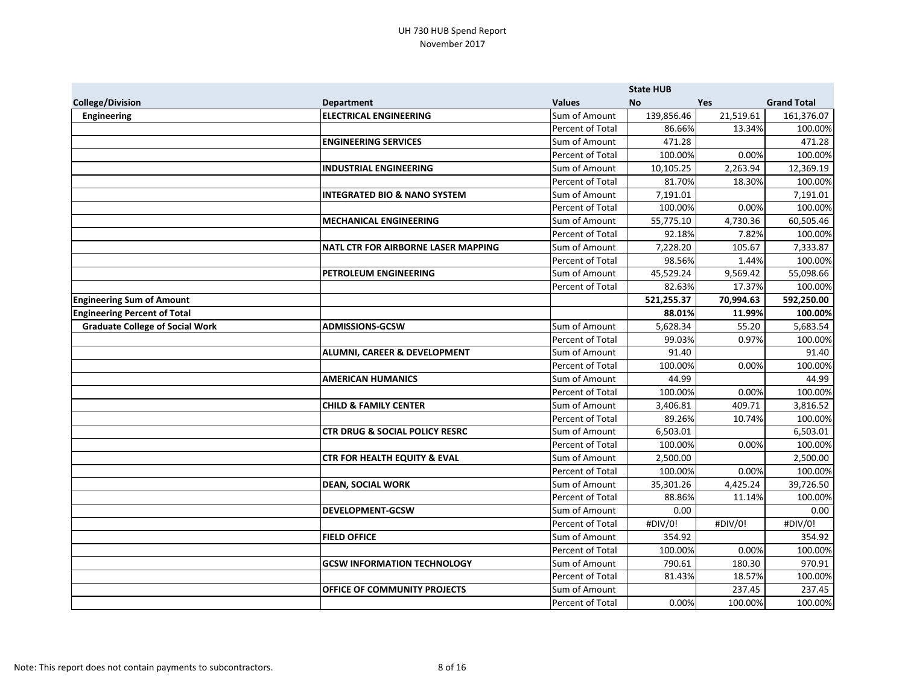|                                        |                                           |                  | <b>State HUB</b> |           |                    |
|----------------------------------------|-------------------------------------------|------------------|------------------|-----------|--------------------|
| <b>College/Division</b>                | <b>Department</b>                         | <b>Values</b>    | <b>No</b>        | Yes       | <b>Grand Total</b> |
| <b>Engineering</b>                     | <b>ELECTRICAL ENGINEERING</b>             | Sum of Amount    | 139,856.46       | 21,519.61 | 161,376.07         |
|                                        |                                           | Percent of Total | 86.66%           | 13.34%    | 100.00%            |
|                                        | <b>ENGINEERING SERVICES</b>               | Sum of Amount    | 471.28           |           | 471.28             |
|                                        |                                           | Percent of Total | 100.00%          | 0.00%     | 100.00%            |
|                                        | <b>INDUSTRIAL ENGINEERING</b>             | Sum of Amount    | 10,105.25        | 2,263.94  | 12,369.19          |
|                                        |                                           | Percent of Total | 81.70%           | 18.30%    | 100.00%            |
|                                        | <b>INTEGRATED BIO &amp; NANO SYSTEM</b>   | Sum of Amount    | 7,191.01         |           | 7,191.01           |
|                                        |                                           | Percent of Total | 100.00%          | 0.00%     | 100.00%            |
|                                        | <b>MECHANICAL ENGINEERING</b>             | Sum of Amount    | 55,775.10        | 4,730.36  | 60,505.46          |
|                                        |                                           | Percent of Total | 92.18%           | 7.82%     | 100.00%            |
|                                        | NATL CTR FOR AIRBORNE LASER MAPPING       | Sum of Amount    | 7,228.20         | 105.67    | 7,333.87           |
|                                        |                                           | Percent of Total | 98.56%           | 1.44%     | 100.00%            |
|                                        | <b>PETROLEUM ENGINEERING</b>              | Sum of Amount    | 45,529.24        | 9,569.42  | 55,098.66          |
|                                        |                                           | Percent of Total | 82.63%           | 17.37%    | 100.00%            |
| <b>Engineering Sum of Amount</b>       |                                           |                  | 521,255.37       | 70,994.63 | 592,250.00         |
| <b>Engineering Percent of Total</b>    |                                           |                  | 88.01%           | 11.99%    | 100.00%            |
| <b>Graduate College of Social Work</b> | <b>ADMISSIONS-GCSW</b>                    | Sum of Amount    | 5,628.34         | 55.20     | 5,683.54           |
|                                        |                                           | Percent of Total | 99.03%           | 0.97%     | 100.00%            |
|                                        | <b>ALUMNI, CAREER &amp; DEVELOPMENT</b>   | Sum of Amount    | 91.40            |           | 91.40              |
|                                        |                                           | Percent of Total | 100.00%          | 0.00%     | 100.00%            |
|                                        | <b>AMERICAN HUMANICS</b>                  | Sum of Amount    | 44.99            |           | 44.99              |
|                                        |                                           | Percent of Total | 100.00%          | 0.00%     | 100.00%            |
|                                        | <b>CHILD &amp; FAMILY CENTER</b>          | Sum of Amount    | 3,406.81         | 409.71    | 3,816.52           |
|                                        |                                           | Percent of Total | 89.26%           | 10.74%    | 100.00%            |
|                                        | <b>CTR DRUG &amp; SOCIAL POLICY RESRC</b> | Sum of Amount    | 6,503.01         |           | 6,503.01           |
|                                        |                                           | Percent of Total | 100.00%          | 0.00%     | 100.00%            |
|                                        | <b>CTR FOR HEALTH EQUITY &amp; EVAL</b>   | Sum of Amount    | 2,500.00         |           | 2,500.00           |
|                                        |                                           | Percent of Total | 100.00%          | 0.00%     | 100.00%            |
|                                        | <b>DEAN, SOCIAL WORK</b>                  | Sum of Amount    | 35,301.26        | 4,425.24  | 39,726.50          |
|                                        |                                           | Percent of Total | 88.86%           | 11.14%    | 100.00%            |
|                                        | <b>DEVELOPMENT-GCSW</b>                   | Sum of Amount    | 0.00             |           | 0.00               |
|                                        |                                           | Percent of Total | #DIV/0!          | #DIV/0!   | #DIV/0!            |
|                                        | <b>FIELD OFFICE</b>                       | Sum of Amount    | 354.92           |           | 354.92             |
|                                        |                                           | Percent of Total | 100.00%          | 0.00%     | 100.00%            |
|                                        | <b>GCSW INFORMATION TECHNOLOGY</b>        | Sum of Amount    | 790.61           | 180.30    | 970.91             |
|                                        |                                           | Percent of Total | 81.43%           | 18.57%    | 100.00%            |
|                                        | <b>OFFICE OF COMMUNITY PROJECTS</b>       | Sum of Amount    |                  | 237.45    | 237.45             |
|                                        |                                           | Percent of Total | 0.00%            | 100.00%   | 100.00%            |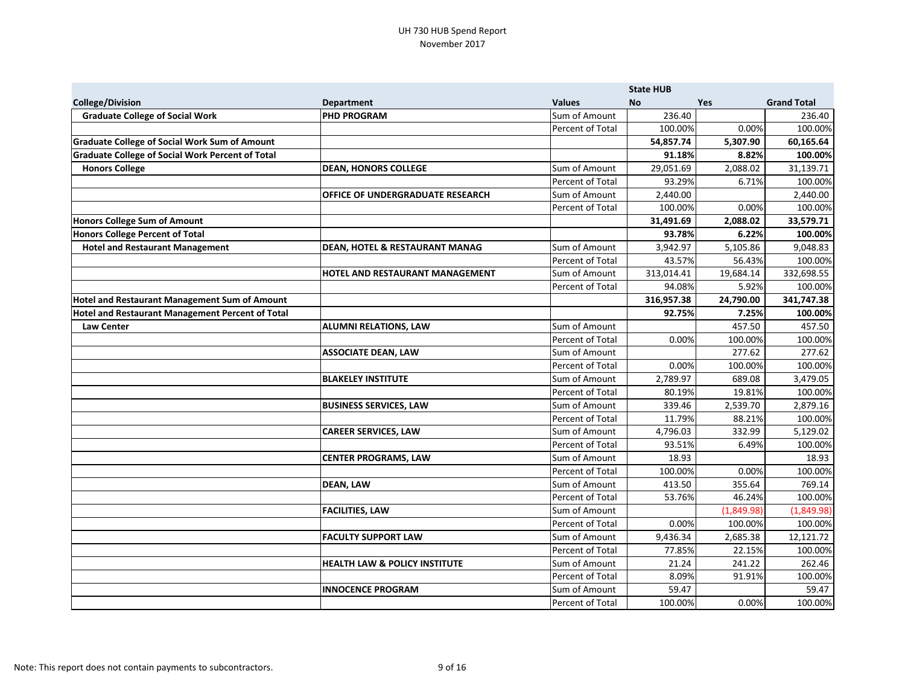|                                                         |                                           |                  | <b>State HUB</b> |            |                    |
|---------------------------------------------------------|-------------------------------------------|------------------|------------------|------------|--------------------|
| <b>College/Division</b>                                 | <b>Department</b>                         | <b>Values</b>    | <b>No</b>        | <b>Yes</b> | <b>Grand Total</b> |
| <b>Graduate College of Social Work</b>                  | <b>PHD PROGRAM</b>                        | Sum of Amount    | 236.40           |            | 236.40             |
|                                                         |                                           | Percent of Total | 100.00%          | 0.00%      | 100.00%            |
| <b>Graduate College of Social Work Sum of Amount</b>    |                                           |                  | 54,857.74        | 5,307.90   | 60,165.64          |
| <b>Graduate College of Social Work Percent of Total</b> |                                           |                  | 91.18%           | 8.82%      | 100.00%            |
| <b>Honors College</b>                                   | <b>DEAN, HONORS COLLEGE</b>               | Sum of Amount    | 29,051.69        | 2,088.02   | 31,139.71          |
|                                                         |                                           | Percent of Total | 93.29%           | 6.71%      | 100.00%            |
|                                                         | <b>OFFICE OF UNDERGRADUATE RESEARCH</b>   | Sum of Amount    | 2,440.00         |            | 2,440.00           |
|                                                         |                                           | Percent of Total | 100.00%          | 0.00%      | 100.00%            |
| <b>Honors College Sum of Amount</b>                     |                                           |                  | 31,491.69        | 2,088.02   | 33,579.71          |
| <b>Honors College Percent of Total</b>                  |                                           |                  | 93.78%           | 6.22%      | 100.00%            |
| <b>Hotel and Restaurant Management</b>                  | <b>DEAN, HOTEL &amp; RESTAURANT MANAG</b> | Sum of Amount    | 3,942.97         | 5,105.86   | 9,048.83           |
|                                                         |                                           | Percent of Total | 43.57%           | 56.43%     | 100.00%            |
|                                                         | HOTEL AND RESTAURANT MANAGEMENT           | Sum of Amount    | 313,014.41       | 19,684.14  | 332,698.55         |
|                                                         |                                           | Percent of Total | 94.08%           | 5.92%      | 100.00%            |
| <b>Hotel and Restaurant Management Sum of Amount</b>    |                                           |                  | 316,957.38       | 24,790.00  | 341,747.38         |
| Hotel and Restaurant Management Percent of Total        |                                           |                  | 92.75%           | 7.25%      | 100.00%            |
| <b>Law Center</b>                                       | <b>ALUMNI RELATIONS, LAW</b>              | Sum of Amount    |                  | 457.50     | 457.50             |
|                                                         |                                           | Percent of Total | 0.00%            | 100.00%    | 100.00%            |
|                                                         | <b>ASSOCIATE DEAN, LAW</b>                | Sum of Amount    |                  | 277.62     | 277.62             |
|                                                         |                                           | Percent of Total | 0.00%            | 100.00%    | 100.00%            |
|                                                         | <b>BLAKELEY INSTITUTE</b>                 | Sum of Amount    | 2,789.97         | 689.08     | 3,479.05           |
|                                                         |                                           | Percent of Total | 80.19%           | 19.81%     | 100.00%            |
|                                                         | <b>BUSINESS SERVICES, LAW</b>             | Sum of Amount    | 339.46           | 2,539.70   | 2,879.16           |
|                                                         |                                           | Percent of Total | 11.79%           | 88.21%     | 100.00%            |
|                                                         | <b>CAREER SERVICES, LAW</b>               | Sum of Amount    | 4,796.03         | 332.99     | 5,129.02           |
|                                                         |                                           | Percent of Total | 93.51%           | 6.49%      | 100.00%            |
|                                                         | <b>CENTER PROGRAMS, LAW</b>               | Sum of Amount    | 18.93            |            | 18.93              |
|                                                         |                                           | Percent of Total | 100.00%          | 0.00%      | 100.00%            |
|                                                         | <b>DEAN, LAW</b>                          | Sum of Amount    | 413.50           | 355.64     | 769.14             |
|                                                         |                                           | Percent of Total | 53.76%           | 46.24%     | 100.00%            |
|                                                         | <b>FACILITIES, LAW</b>                    | Sum of Amount    |                  | (1,849.98) | (1,849.98)         |
|                                                         |                                           | Percent of Total | 0.00%            | 100.00%    | 100.00%            |
|                                                         | <b>FACULTY SUPPORT LAW</b>                | Sum of Amount    | 9,436.34         | 2,685.38   | 12,121.72          |
|                                                         |                                           | Percent of Total | 77.85%           | 22.15%     | 100.00%            |
|                                                         | <b>HEALTH LAW &amp; POLICY INSTITUTE</b>  | Sum of Amount    | 21.24            | 241.22     | 262.46             |
|                                                         |                                           | Percent of Total | 8.09%            | 91.91%     | 100.00%            |
|                                                         | <b>INNOCENCE PROGRAM</b>                  | Sum of Amount    | 59.47            |            | 59.47              |
|                                                         |                                           | Percent of Total | 100.00%          | 0.00%      | 100.00%            |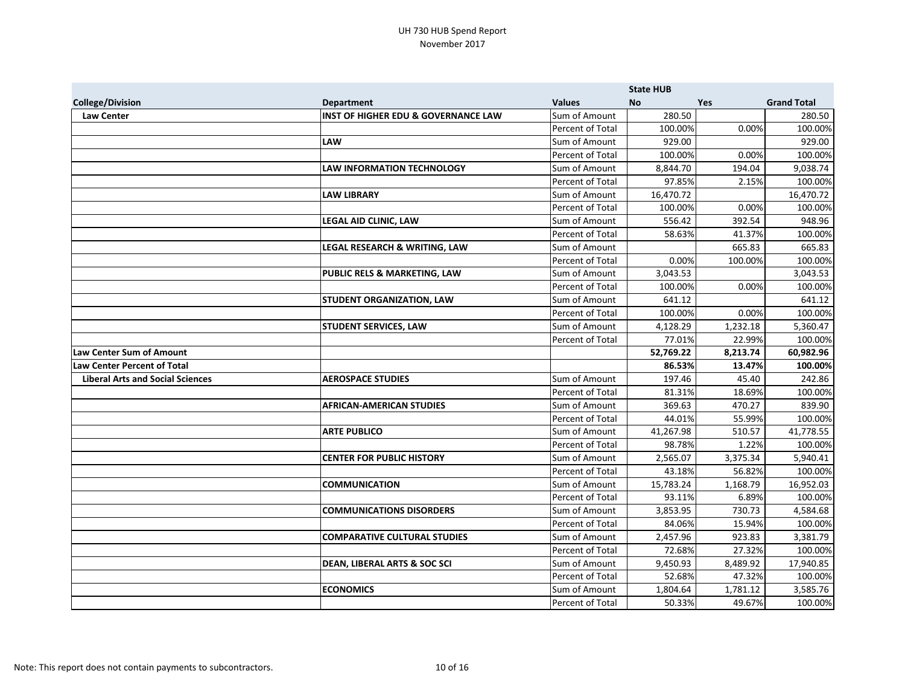|                                         |                                                |                  | <b>State HUB</b> |          |                    |
|-----------------------------------------|------------------------------------------------|------------------|------------------|----------|--------------------|
| <b>College/Division</b>                 | <b>Department</b>                              | <b>Values</b>    | No               | Yes      | <b>Grand Total</b> |
| <b>Law Center</b>                       | <b>INST OF HIGHER EDU &amp; GOVERNANCE LAW</b> | Sum of Amount    | 280.50           |          | 280.50             |
|                                         |                                                | Percent of Total | 100.00%          | 0.00%    | 100.00%            |
|                                         | <b>LAW</b>                                     | Sum of Amount    | 929.00           |          | 929.00             |
|                                         |                                                | Percent of Total | 100.00%          | 0.00%    | 100.00%            |
|                                         | <b>LAW INFORMATION TECHNOLOGY</b>              | Sum of Amount    | 8,844.70         | 194.04   | 9,038.74           |
|                                         |                                                | Percent of Total | 97.85%           | 2.15%    | 100.00%            |
|                                         | <b>LAW LIBRARY</b>                             | Sum of Amount    | 16,470.72        |          | 16,470.72          |
|                                         |                                                | Percent of Total | 100.00%          | 0.00%    | 100.00%            |
|                                         | LEGAL AID CLINIC, LAW                          | Sum of Amount    | 556.42           | 392.54   | 948.96             |
|                                         |                                                | Percent of Total | 58.63%           | 41.37%   | 100.00%            |
|                                         | LEGAL RESEARCH & WRITING, LAW                  | Sum of Amount    |                  | 665.83   | 665.83             |
|                                         |                                                | Percent of Total | 0.00%            | 100.00%  | 100.00%            |
|                                         | PUBLIC RELS & MARKETING, LAW                   | Sum of Amount    | 3,043.53         |          | 3,043.53           |
|                                         |                                                | Percent of Total | 100.00%          | 0.00%    | 100.00%            |
|                                         | <b>STUDENT ORGANIZATION, LAW</b>               | Sum of Amount    | 641.12           |          | 641.12             |
|                                         |                                                | Percent of Total | 100.00%          | 0.00%    | 100.00%            |
|                                         | <b>STUDENT SERVICES, LAW</b>                   | Sum of Amount    | 4,128.29         | 1,232.18 | 5,360.47           |
|                                         |                                                | Percent of Total | 77.01%           | 22.99%   | 100.00%            |
| <b>Law Center Sum of Amount</b>         |                                                |                  | 52,769.22        | 8,213.74 | 60,982.96          |
| <b>Law Center Percent of Total</b>      |                                                |                  | 86.53%           | 13.47%   | 100.00%            |
| <b>Liberal Arts and Social Sciences</b> | <b>AEROSPACE STUDIES</b>                       | Sum of Amount    | 197.46           | 45.40    | 242.86             |
|                                         |                                                | Percent of Total | 81.31%           | 18.69%   | 100.00%            |
|                                         | <b>AFRICAN-AMERICAN STUDIES</b>                | Sum of Amount    | 369.63           | 470.27   | 839.90             |
|                                         |                                                | Percent of Total | 44.01%           | 55.99%   | 100.00%            |
|                                         | <b>ARTE PUBLICO</b>                            | Sum of Amount    | 41,267.98        | 510.57   | 41,778.55          |
|                                         |                                                | Percent of Total | 98.78%           | 1.22%    | 100.00%            |
|                                         | <b>CENTER FOR PUBLIC HISTORY</b>               | Sum of Amount    | 2,565.07         | 3,375.34 | 5,940.41           |
|                                         |                                                | Percent of Total | 43.18%           | 56.82%   | 100.00%            |
|                                         | <b>COMMUNICATION</b>                           | Sum of Amount    | 15,783.24        | 1,168.79 | 16,952.03          |
|                                         |                                                | Percent of Total | 93.11%           | 6.89%    | 100.00%            |
|                                         | <b>COMMUNICATIONS DISORDERS</b>                | Sum of Amount    | 3,853.95         | 730.73   | 4,584.68           |
|                                         |                                                | Percent of Total | 84.06%           | 15.94%   | 100.00%            |
|                                         | <b>COMPARATIVE CULTURAL STUDIES</b>            | Sum of Amount    | 2,457.96         | 923.83   | 3,381.79           |
|                                         |                                                | Percent of Total | 72.68%           | 27.32%   | 100.00%            |
|                                         | <b>DEAN, LIBERAL ARTS &amp; SOC SCI</b>        | Sum of Amount    | 9,450.93         | 8,489.92 | 17,940.85          |
|                                         |                                                | Percent of Total | 52.68%           | 47.32%   | 100.00%            |
|                                         | <b>ECONOMICS</b>                               | Sum of Amount    | 1,804.64         | 1,781.12 | 3,585.76           |
|                                         |                                                | Percent of Total | 50.33%           | 49.67%   | 100.00%            |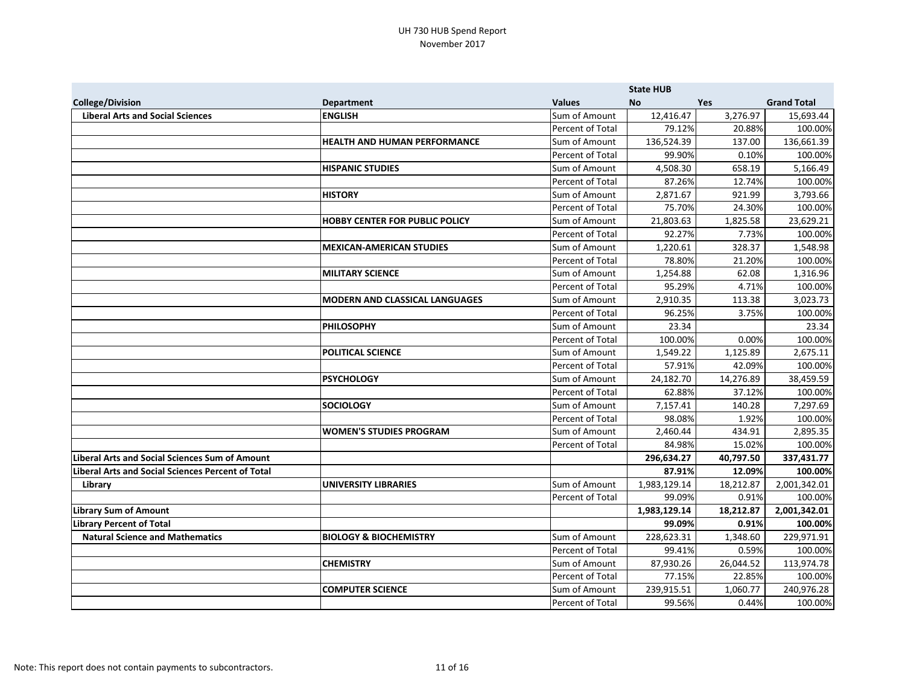|                                                          |                                       |                  | <b>State HUB</b> |           |                    |
|----------------------------------------------------------|---------------------------------------|------------------|------------------|-----------|--------------------|
| <b>College/Division</b>                                  | <b>Department</b>                     | <b>Values</b>    | <b>No</b>        | Yes       | <b>Grand Total</b> |
| <b>Liberal Arts and Social Sciences</b>                  | <b>ENGLISH</b>                        | Sum of Amount    | 12,416.47        | 3,276.97  | 15,693.44          |
|                                                          |                                       | Percent of Total | 79.12%           | 20.88%    | 100.00%            |
|                                                          | <b>HEALTH AND HUMAN PERFORMANCE</b>   | Sum of Amount    | 136,524.39       | 137.00    | 136,661.39         |
|                                                          |                                       | Percent of Total | 99.90%           | 0.10%     | 100.00%            |
|                                                          | <b>HISPANIC STUDIES</b>               | Sum of Amount    | 4,508.30         | 658.19    | 5,166.49           |
|                                                          |                                       | Percent of Total | 87.26%           | 12.74%    | 100.00%            |
|                                                          | <b>HISTORY</b>                        | Sum of Amount    | 2,871.67         | 921.99    | 3,793.66           |
|                                                          |                                       | Percent of Total | 75.70%           | 24.30%    | 100.00%            |
|                                                          | <b>HOBBY CENTER FOR PUBLIC POLICY</b> | Sum of Amount    | 21,803.63        | 1,825.58  | 23,629.21          |
|                                                          |                                       | Percent of Total | 92.27%           | 7.73%     | 100.00%            |
|                                                          | <b>MEXICAN-AMERICAN STUDIES</b>       | Sum of Amount    | 1,220.61         | 328.37    | 1,548.98           |
|                                                          |                                       | Percent of Total | 78.80%           | 21.20%    | 100.00%            |
|                                                          | <b>MILITARY SCIENCE</b>               | Sum of Amount    | 1,254.88         | 62.08     | 1,316.96           |
|                                                          |                                       | Percent of Total | 95.29%           | 4.71%     | 100.00%            |
|                                                          | <b>MODERN AND CLASSICAL LANGUAGES</b> | Sum of Amount    | 2,910.35         | 113.38    | 3,023.73           |
|                                                          |                                       | Percent of Total | 96.25%           | 3.75%     | 100.00%            |
|                                                          | <b>PHILOSOPHY</b>                     | Sum of Amount    | 23.34            |           | 23.34              |
|                                                          |                                       | Percent of Total | 100.00%          | 0.00%     | 100.00%            |
|                                                          | <b>POLITICAL SCIENCE</b>              | Sum of Amount    | 1,549.22         | 1,125.89  | 2,675.11           |
|                                                          |                                       | Percent of Total | 57.91%           | 42.09%    | 100.00%            |
|                                                          | <b>PSYCHOLOGY</b>                     | Sum of Amount    | 24,182.70        | 14,276.89 | 38,459.59          |
|                                                          |                                       | Percent of Total | 62.88%           | 37.12%    | 100.00%            |
|                                                          | <b>SOCIOLOGY</b>                      | Sum of Amount    | 7,157.41         | 140.28    | 7,297.69           |
|                                                          |                                       | Percent of Total | 98.08%           | 1.92%     | 100.00%            |
|                                                          | <b>WOMEN'S STUDIES PROGRAM</b>        | Sum of Amount    | 2,460.44         | 434.91    | 2,895.35           |
|                                                          |                                       | Percent of Total | 84.98%           | 15.02%    | 100.00%            |
| <b>Liberal Arts and Social Sciences Sum of Amount</b>    |                                       |                  | 296,634.27       | 40,797.50 | 337,431.77         |
| <b>Liberal Arts and Social Sciences Percent of Total</b> |                                       |                  | 87.91%           | 12.09%    | 100.00%            |
| Library                                                  | <b>UNIVERSITY LIBRARIES</b>           | Sum of Amount    | 1,983,129.14     | 18,212.87 | 2,001,342.01       |
|                                                          |                                       | Percent of Total | 99.09%           | 0.91%     | 100.00%            |
| <b>Library Sum of Amount</b>                             |                                       |                  | 1,983,129.14     | 18,212.87 | 2,001,342.01       |
| <b>Library Percent of Total</b>                          |                                       |                  | 99.09%           | 0.91%     | 100.00%            |
| <b>Natural Science and Mathematics</b>                   | <b>BIOLOGY &amp; BIOCHEMISTRY</b>     | Sum of Amount    | 228,623.31       | 1,348.60  | 229,971.91         |
|                                                          |                                       | Percent of Total | 99.41%           | 0.59%     | 100.00%            |
|                                                          | <b>CHEMISTRY</b>                      | Sum of Amount    | 87,930.26        | 26,044.52 | 113,974.78         |
|                                                          |                                       | Percent of Total | 77.15%           | 22.85%    | 100.00%            |
|                                                          | <b>COMPUTER SCIENCE</b>               | Sum of Amount    | 239,915.51       | 1,060.77  | 240,976.28         |
|                                                          |                                       | Percent of Total | 99.56%           | 0.44%     | 100.00%            |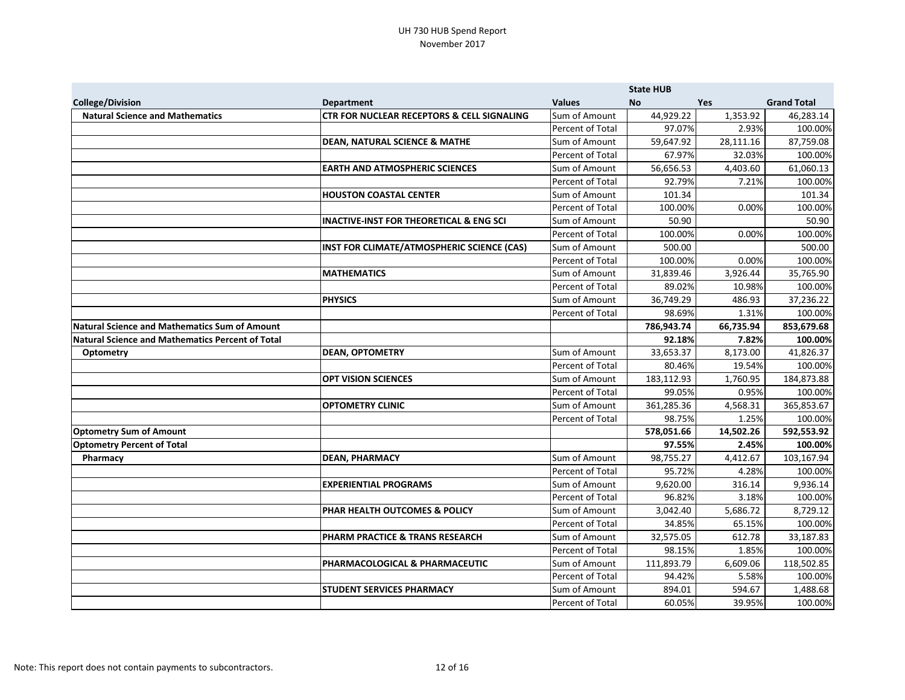|                                                      |                                                       |                  | <b>State HUB</b> |            |                    |
|------------------------------------------------------|-------------------------------------------------------|------------------|------------------|------------|--------------------|
| <b>College/Division</b>                              | <b>Department</b>                                     | <b>Values</b>    | <b>No</b>        | <b>Yes</b> | <b>Grand Total</b> |
| <b>Natural Science and Mathematics</b>               | <b>CTR FOR NUCLEAR RECEPTORS &amp; CELL SIGNALING</b> | Sum of Amount    | 44,929.22        | 1,353.92   | 46,283.14          |
|                                                      |                                                       | Percent of Total | 97.07%           | 2.93%      | 100.00%            |
|                                                      | <b>DEAN, NATURAL SCIENCE &amp; MATHE</b>              | Sum of Amount    | 59,647.92        | 28,111.16  | 87,759.08          |
|                                                      |                                                       | Percent of Total | 67.97%           | 32.03%     | 100.00%            |
|                                                      | <b>EARTH AND ATMOSPHERIC SCIENCES</b>                 | Sum of Amount    | 56,656.53        | 4,403.60   | 61,060.13          |
|                                                      |                                                       | Percent of Total | 92.79%           | 7.21%      | 100.00%            |
|                                                      | <b>HOUSTON COASTAL CENTER</b>                         | Sum of Amount    | 101.34           |            | 101.34             |
|                                                      |                                                       | Percent of Total | 100.00%          | 0.00%      | 100.00%            |
|                                                      | <b>INACTIVE-INST FOR THEORETICAL &amp; ENG SCI</b>    | Sum of Amount    | 50.90            |            | 50.90              |
|                                                      |                                                       | Percent of Total | 100.00%          | 0.00%      | 100.00%            |
|                                                      | INST FOR CLIMATE/ATMOSPHERIC SCIENCE (CAS)            | Sum of Amount    | 500.00           |            | 500.00             |
|                                                      |                                                       | Percent of Total | 100.00%          | 0.00%      | 100.00%            |
|                                                      | <b>MATHEMATICS</b>                                    | Sum of Amount    | 31,839.46        | 3,926.44   | 35,765.90          |
|                                                      |                                                       | Percent of Total | 89.02%           | 10.98%     | 100.00%            |
|                                                      | <b>PHYSICS</b>                                        | Sum of Amount    | 36,749.29        | 486.93     | 37,236.22          |
|                                                      |                                                       | Percent of Total | 98.69%           | 1.31%      | 100.00%            |
| <b>Natural Science and Mathematics Sum of Amount</b> |                                                       |                  | 786,943.74       | 66,735.94  | 853,679.68         |
| Natural Science and Mathematics Percent of Total     |                                                       |                  | 92.18%           | 7.82%      | 100.00%            |
| <b>Optometry</b>                                     | <b>DEAN, OPTOMETRY</b>                                | Sum of Amount    | 33,653.37        | 8,173.00   | 41,826.37          |
|                                                      |                                                       | Percent of Total | 80.46%           | 19.54%     | 100.00%            |
|                                                      | <b>OPT VISION SCIENCES</b>                            | Sum of Amount    | 183,112.93       | 1,760.95   | 184,873.88         |
|                                                      |                                                       | Percent of Total | 99.05%           | 0.95%      | 100.00%            |
|                                                      | <b>OPTOMETRY CLINIC</b>                               | Sum of Amount    | 361,285.36       | 4,568.31   | 365,853.67         |
|                                                      |                                                       | Percent of Total | 98.75%           | 1.25%      | 100.00%            |
| <b>Optometry Sum of Amount</b>                       |                                                       |                  | 578,051.66       | 14,502.26  | 592,553.92         |
| <b>Optometry Percent of Total</b>                    |                                                       |                  | 97.55%           | 2.45%      | 100.00%            |
| Pharmacy                                             | <b>DEAN, PHARMACY</b>                                 | Sum of Amount    | 98,755.27        | 4,412.67   | 103,167.94         |
|                                                      |                                                       | Percent of Total | 95.72%           | 4.28%      | 100.00%            |
|                                                      | <b>EXPERIENTIAL PROGRAMS</b>                          | Sum of Amount    | 9,620.00         | 316.14     | 9,936.14           |
|                                                      |                                                       | Percent of Total | 96.82%           | 3.18%      | 100.00%            |
|                                                      | <b>PHAR HEALTH OUTCOMES &amp; POLICY</b>              | Sum of Amount    | 3,042.40         | 5,686.72   | 8,729.12           |
|                                                      |                                                       | Percent of Total | 34.85%           | 65.15%     | 100.00%            |
|                                                      | PHARM PRACTICE & TRANS RESEARCH                       | Sum of Amount    | 32,575.05        | 612.78     | 33,187.83          |
|                                                      |                                                       | Percent of Total | 98.15%           | 1.85%      | 100.00%            |
|                                                      | <b>PHARMACOLOGICAL &amp; PHARMACEUTIC</b>             | Sum of Amount    | 111,893.79       | 6,609.06   | 118,502.85         |
|                                                      |                                                       | Percent of Total | 94.42%           | 5.58%      | 100.00%            |
|                                                      | <b>STUDENT SERVICES PHARMACY</b>                      | Sum of Amount    | 894.01           | 594.67     | 1,488.68           |
|                                                      |                                                       | Percent of Total | 60.05%           | 39.95%     | 100.00%            |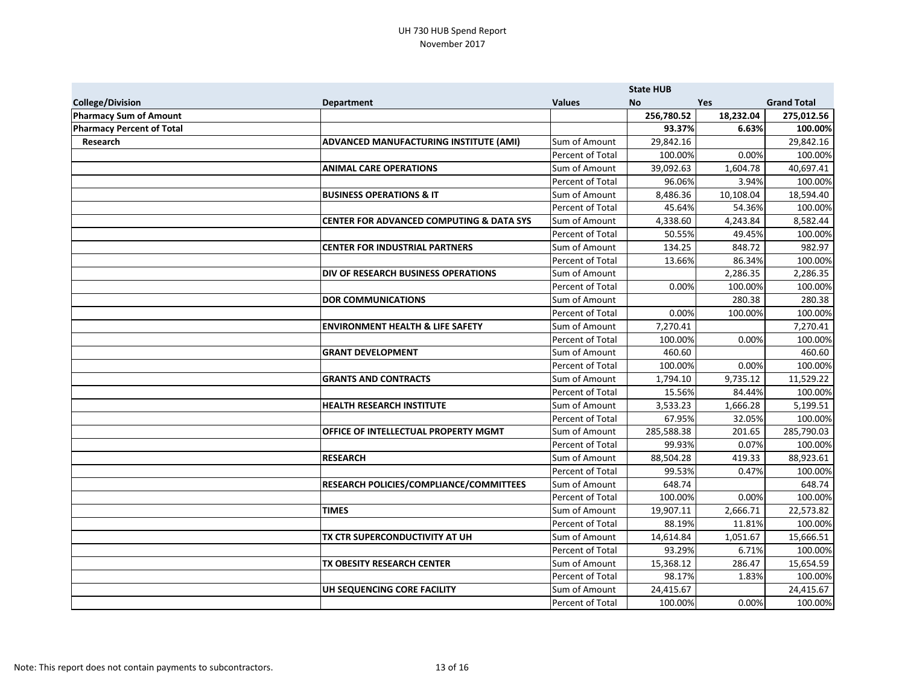|                                  |                                                     |                  | <b>State HUB</b> |            |                    |
|----------------------------------|-----------------------------------------------------|------------------|------------------|------------|--------------------|
| <b>College/Division</b>          | <b>Department</b>                                   | <b>Values</b>    | <b>No</b>        | <b>Yes</b> | <b>Grand Total</b> |
| Pharmacy Sum of Amount           |                                                     |                  | 256,780.52       | 18,232.04  | 275,012.56         |
| <b>Pharmacy Percent of Total</b> |                                                     |                  | 93.37%           | 6.63%      | 100.00%            |
| Research                         | ADVANCED MANUFACTURING INSTITUTE (AMI)              | Sum of Amount    | 29,842.16        |            | 29,842.16          |
|                                  |                                                     | Percent of Total | 100.00%          | 0.00%      | 100.00%            |
|                                  | <b>ANIMAL CARE OPERATIONS</b>                       | Sum of Amount    | 39,092.63        | 1,604.78   | 40,697.41          |
|                                  |                                                     | Percent of Total | 96.06%           | 3.94%      | 100.00%            |
|                                  | <b>BUSINESS OPERATIONS &amp; IT</b>                 | Sum of Amount    | 8,486.36         | 10,108.04  | 18,594.40          |
|                                  |                                                     | Percent of Total | 45.64%           | 54.36%     | 100.00%            |
|                                  | <b>CENTER FOR ADVANCED COMPUTING &amp; DATA SYS</b> | Sum of Amount    | 4,338.60         | 4,243.84   | 8,582.44           |
|                                  |                                                     | Percent of Total | 50.55%           | 49.45%     | 100.00%            |
|                                  | <b>CENTER FOR INDUSTRIAL PARTNERS</b>               | Sum of Amount    | 134.25           | 848.72     | 982.97             |
|                                  |                                                     | Percent of Total | 13.66%           | 86.34%     | 100.00%            |
|                                  | <b>DIV OF RESEARCH BUSINESS OPERATIONS</b>          | Sum of Amount    |                  | 2,286.35   | 2,286.35           |
|                                  |                                                     | Percent of Total | 0.00%            | 100.00%    | 100.00%            |
|                                  | <b>DOR COMMUNICATIONS</b>                           | Sum of Amount    |                  | 280.38     | 280.38             |
|                                  |                                                     | Percent of Total | 0.00%            | 100.00%    | 100.00%            |
|                                  | <b>ENVIRONMENT HEALTH &amp; LIFE SAFETY</b>         | Sum of Amount    | 7,270.41         |            | 7,270.41           |
|                                  |                                                     | Percent of Total | 100.00%          | 0.00%      | 100.00%            |
|                                  | <b>GRANT DEVELOPMENT</b>                            | Sum of Amount    | 460.60           |            | 460.60             |
|                                  |                                                     | Percent of Total | 100.00%          | 0.00%      | 100.00%            |
|                                  | <b>GRANTS AND CONTRACTS</b>                         | Sum of Amount    | 1,794.10         | 9,735.12   | 11,529.22          |
|                                  |                                                     | Percent of Total | 15.56%           | 84.44%     | 100.00%            |
|                                  | <b>HEALTH RESEARCH INSTITUTE</b>                    | Sum of Amount    | 3,533.23         | 1,666.28   | 5,199.51           |
|                                  |                                                     | Percent of Total | 67.95%           | 32.05%     | 100.00%            |
|                                  | <b>OFFICE OF INTELLECTUAL PROPERTY MGMT</b>         | Sum of Amount    | 285,588.38       | 201.65     | 285,790.03         |
|                                  |                                                     | Percent of Total | 99.93%           | 0.07%      | 100.00%            |
|                                  | <b>RESEARCH</b>                                     | Sum of Amount    | 88,504.28        | 419.33     | 88,923.61          |
|                                  |                                                     | Percent of Total | 99.53%           | 0.47%      | 100.00%            |
|                                  | RESEARCH POLICIES/COMPLIANCE/COMMITTEES             | Sum of Amount    | 648.74           |            | 648.74             |
|                                  |                                                     | Percent of Total | 100.00%          | 0.00%      | 100.00%            |
|                                  | <b>TIMES</b>                                        | Sum of Amount    | 19,907.11        | 2,666.71   | 22,573.82          |
|                                  |                                                     | Percent of Total | 88.19%           | 11.81%     | 100.00%            |
|                                  | TX CTR SUPERCONDUCTIVITY AT UH                      | Sum of Amount    | 14,614.84        | 1,051.67   | 15,666.51          |
|                                  |                                                     | Percent of Total | 93.29%           | 6.71%      | 100.00%            |
|                                  | TX OBESITY RESEARCH CENTER                          | Sum of Amount    | 15,368.12        | 286.47     | 15,654.59          |
|                                  |                                                     | Percent of Total | 98.17%           | 1.83%      | 100.00%            |
|                                  | UH SEQUENCING CORE FACILITY                         | Sum of Amount    | 24,415.67        |            | 24,415.67          |
|                                  |                                                     | Percent of Total | 100.00%          | 0.00%      | 100.00%            |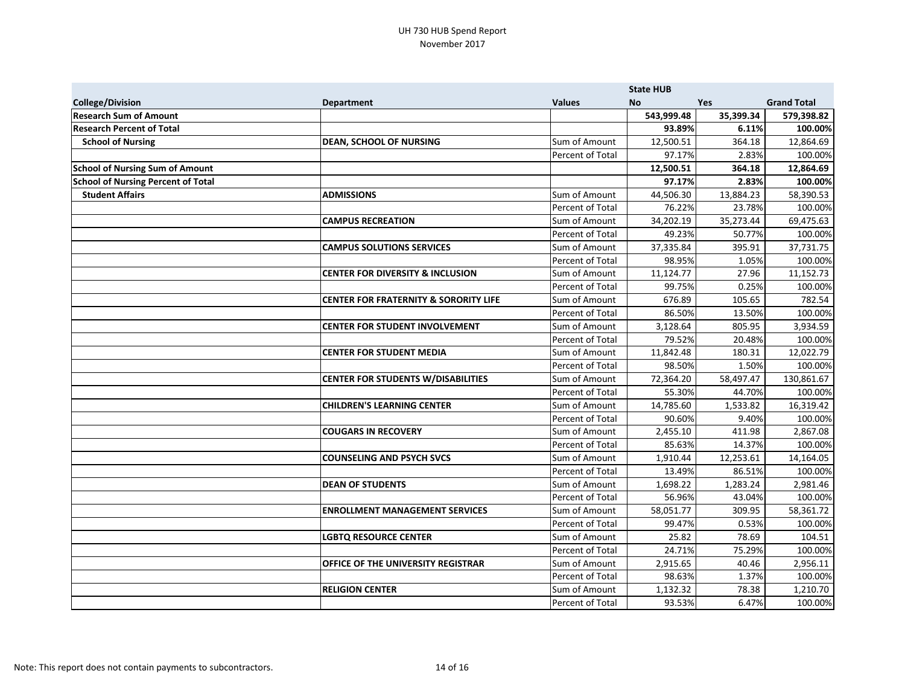|                                           |                                                  |                  | <b>State HUB</b> |           |                    |
|-------------------------------------------|--------------------------------------------------|------------------|------------------|-----------|--------------------|
| <b>College/Division</b>                   | <b>Department</b>                                | <b>Values</b>    | <b>No</b>        | Yes       | <b>Grand Total</b> |
| <b>Research Sum of Amount</b>             |                                                  |                  | 543,999.48       | 35,399.34 | 579,398.82         |
| <b>Research Percent of Total</b>          |                                                  |                  | 93.89%           | 6.11%     | 100.00%            |
| <b>School of Nursing</b>                  | <b>DEAN, SCHOOL OF NURSING</b>                   | Sum of Amount    | 12,500.51        | 364.18    | 12,864.69          |
|                                           |                                                  | Percent of Total | 97.17%           | 2.83%     | 100.00%            |
| <b>School of Nursing Sum of Amount</b>    |                                                  |                  | 12,500.51        | 364.18    | 12,864.69          |
| <b>School of Nursing Percent of Total</b> |                                                  |                  | 97.17%           | 2.83%     | 100.00%            |
| <b>Student Affairs</b>                    | <b>ADMISSIONS</b>                                | Sum of Amount    | 44,506.30        | 13,884.23 | 58,390.53          |
|                                           |                                                  | Percent of Total | 76.22%           | 23.78%    | 100.00%            |
|                                           | <b>CAMPUS RECREATION</b>                         | Sum of Amount    | 34,202.19        | 35,273.44 | 69,475.63          |
|                                           |                                                  | Percent of Total | 49.23%           | 50.77%    | 100.00%            |
|                                           | <b>CAMPUS SOLUTIONS SERVICES</b>                 | Sum of Amount    | 37,335.84        | 395.91    | 37,731.75          |
|                                           |                                                  | Percent of Total | 98.95%           | 1.05%     | 100.00%            |
|                                           | <b>CENTER FOR DIVERSITY &amp; INCLUSION</b>      | Sum of Amount    | 11,124.77        | 27.96     | 11,152.73          |
|                                           |                                                  | Percent of Total | 99.75%           | 0.25%     | 100.00%            |
|                                           | <b>CENTER FOR FRATERNITY &amp; SORORITY LIFE</b> | Sum of Amount    | 676.89           | 105.65    | 782.54             |
|                                           |                                                  | Percent of Total | 86.50%           | 13.50%    | 100.00%            |
|                                           | <b>CENTER FOR STUDENT INVOLVEMENT</b>            | Sum of Amount    | 3,128.64         | 805.95    | 3,934.59           |
|                                           |                                                  | Percent of Total | 79.52%           | 20.48%    | 100.00%            |
|                                           | <b>CENTER FOR STUDENT MEDIA</b>                  | Sum of Amount    | 11,842.48        | 180.31    | 12,022.79          |
|                                           |                                                  | Percent of Total | 98.50%           | 1.50%     | 100.00%            |
|                                           | <b>CENTER FOR STUDENTS W/DISABILITIES</b>        | Sum of Amount    | 72,364.20        | 58,497.47 | 130,861.67         |
|                                           |                                                  | Percent of Total | 55.30%           | 44.70%    | 100.00%            |
|                                           | <b>CHILDREN'S LEARNING CENTER</b>                | Sum of Amount    | 14,785.60        | 1,533.82  | 16,319.42          |
|                                           |                                                  | Percent of Total | 90.60%           | 9.40%     | 100.00%            |
|                                           | <b>COUGARS IN RECOVERY</b>                       | Sum of Amount    | 2,455.10         | 411.98    | 2,867.08           |
|                                           |                                                  | Percent of Total | 85.63%           | 14.37%    | 100.00%            |
|                                           | <b>COUNSELING AND PSYCH SVCS</b>                 | Sum of Amount    | 1,910.44         | 12,253.61 | 14,164.05          |
|                                           |                                                  | Percent of Total | 13.49%           | 86.51%    | 100.00%            |
|                                           | <b>DEAN OF STUDENTS</b>                          | Sum of Amount    | 1,698.22         | 1,283.24  | 2,981.46           |
|                                           |                                                  | Percent of Total | 56.96%           | 43.04%    | 100.00%            |
|                                           | <b>ENROLLMENT MANAGEMENT SERVICES</b>            | Sum of Amount    | 58,051.77        | 309.95    | 58,361.72          |
|                                           |                                                  | Percent of Total | 99.47%           | 0.53%     | 100.00%            |
|                                           | <b>LGBTQ RESOURCE CENTER</b>                     | Sum of Amount    | 25.82            | 78.69     | 104.51             |
|                                           |                                                  | Percent of Total | 24.71%           | 75.29%    | 100.00%            |
|                                           | <b>OFFICE OF THE UNIVERSITY REGISTRAR</b>        | Sum of Amount    | 2,915.65         | 40.46     | 2,956.11           |
|                                           |                                                  | Percent of Total | 98.63%           | 1.37%     | 100.00%            |
|                                           | <b>RELIGION CENTER</b>                           | Sum of Amount    | 1,132.32         | 78.38     | 1,210.70           |
|                                           |                                                  | Percent of Total | 93.53%           | 6.47%     | 100.00%            |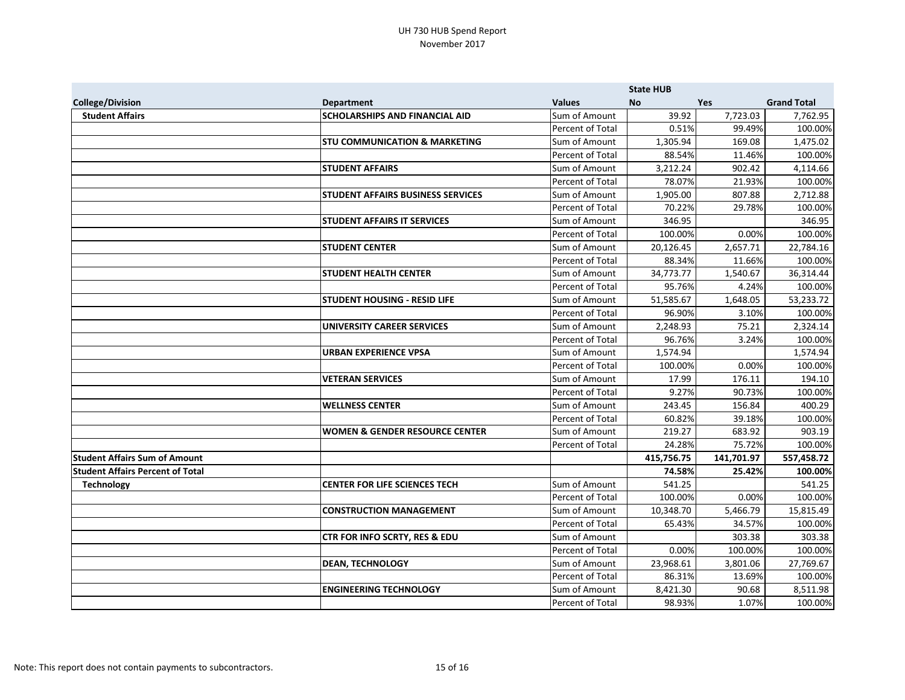|                                         |                                           |                  | <b>State HUB</b> |            |                    |
|-----------------------------------------|-------------------------------------------|------------------|------------------|------------|--------------------|
| <b>College/Division</b>                 | <b>Department</b>                         | <b>Values</b>    | <b>No</b>        | Yes        | <b>Grand Total</b> |
| <b>Student Affairs</b>                  | <b>SCHOLARSHIPS AND FINANCIAL AID</b>     | Sum of Amount    | 39.92            | 7,723.03   | 7,762.95           |
|                                         |                                           | Percent of Total | 0.51%            | 99.49%     | 100.00%            |
|                                         | <b>STU COMMUNICATION &amp; MARKETING</b>  | Sum of Amount    | 1,305.94         | 169.08     | 1,475.02           |
|                                         |                                           | Percent of Total | 88.54%           | 11.46%     | 100.00%            |
|                                         | <b>STUDENT AFFAIRS</b>                    | Sum of Amount    | 3,212.24         | 902.42     | 4,114.66           |
|                                         |                                           | Percent of Total | 78.07%           | 21.93%     | 100.00%            |
|                                         | <b>STUDENT AFFAIRS BUSINESS SERVICES</b>  | Sum of Amount    | 1,905.00         | 807.88     | 2,712.88           |
|                                         |                                           | Percent of Total | 70.22%           | 29.78%     | 100.00%            |
|                                         | <b>STUDENT AFFAIRS IT SERVICES</b>        | Sum of Amount    | 346.95           |            | 346.95             |
|                                         |                                           | Percent of Total | 100.00%          | 0.00%      | 100.00%            |
|                                         | <b>STUDENT CENTER</b>                     | Sum of Amount    | 20,126.45        | 2,657.71   | 22,784.16          |
|                                         |                                           | Percent of Total | 88.34%           | 11.66%     | 100.00%            |
|                                         | <b>STUDENT HEALTH CENTER</b>              | Sum of Amount    | 34,773.77        | 1,540.67   | 36,314.44          |
|                                         |                                           | Percent of Total | 95.76%           | 4.24%      | 100.00%            |
|                                         | <b>STUDENT HOUSING - RESID LIFE</b>       | Sum of Amount    | 51,585.67        | 1,648.05   | 53,233.72          |
|                                         |                                           | Percent of Total | 96.90%           | 3.10%      | 100.00%            |
|                                         | <b>UNIVERSITY CAREER SERVICES</b>         | Sum of Amount    | 2,248.93         | 75.21      | 2,324.14           |
|                                         |                                           | Percent of Total | 96.76%           | 3.24%      | 100.00%            |
|                                         | URBAN EXPERIENCE VPSA                     | Sum of Amount    | 1,574.94         |            | 1,574.94           |
|                                         |                                           | Percent of Total | 100.00%          | 0.00%      | 100.00%            |
|                                         | <b>VETERAN SERVICES</b>                   | Sum of Amount    | 17.99            | 176.11     | 194.10             |
|                                         |                                           | Percent of Total | 9.27%            | 90.73%     | 100.00%            |
|                                         | <b>WELLNESS CENTER</b>                    | Sum of Amount    | 243.45           | 156.84     | 400.29             |
|                                         |                                           | Percent of Total | 60.82%           | 39.18%     | 100.00%            |
|                                         | <b>WOMEN &amp; GENDER RESOURCE CENTER</b> | Sum of Amount    | 219.27           | 683.92     | 903.19             |
|                                         |                                           | Percent of Total | 24.28%           | 75.72%     | 100.00%            |
| <b>Student Affairs Sum of Amount</b>    |                                           |                  | 415,756.75       | 141,701.97 | 557,458.72         |
| <b>Student Affairs Percent of Total</b> |                                           |                  | 74.58%           | 25.42%     | 100.00%            |
| <b>Technology</b>                       | <b>CENTER FOR LIFE SCIENCES TECH</b>      | Sum of Amount    | 541.25           |            | 541.25             |
|                                         |                                           | Percent of Total | 100.00%          | 0.00%      | 100.00%            |
|                                         | <b>CONSTRUCTION MANAGEMENT</b>            | Sum of Amount    | 10,348.70        | 5,466.79   | 15,815.49          |
|                                         |                                           | Percent of Total | 65.43%           | 34.57%     | 100.00%            |
|                                         | <b>CTR FOR INFO SCRTY, RES &amp; EDU</b>  | Sum of Amount    |                  | 303.38     | 303.38             |
|                                         |                                           | Percent of Total | 0.00%            | 100.00%    | 100.00%            |
|                                         | <b>DEAN, TECHNOLOGY</b>                   | Sum of Amount    | 23,968.61        | 3,801.06   | 27,769.67          |
|                                         |                                           | Percent of Total | 86.31%           | 13.69%     | 100.00%            |
|                                         | <b>ENGINEERING TECHNOLOGY</b>             | Sum of Amount    | 8,421.30         | 90.68      | 8,511.98           |
|                                         |                                           | Percent of Total | 98.93%           | 1.07%      | 100.00%            |